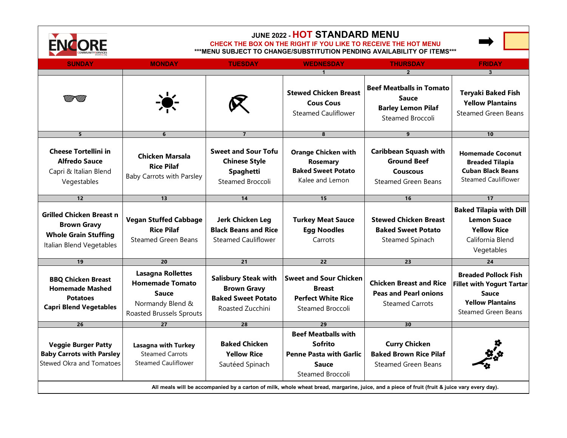

## **JUNE 2022 - HOT STANDARD MENU**

## **CHECK THE BOX ON THE RIGHT IF YOU LIKE TO RECEIVE THE HOT MENU**

**\*\*\*MENU SUBJECT TO CHANGE/SUBSTITUTION PENDING AVAILABILITY OF ITEMS\*\*\***

| <b>SUNDAY</b>                                                                                                                                | <b>MONDAY</b>                                                                                                             | <b>TUESDAY</b>                                                                                     | <b>WEDNESDAY</b>                                                                                                   | <b>THURSDAY</b>                                                                                     | <b>FRIDAY</b>                                                                                                                            |
|----------------------------------------------------------------------------------------------------------------------------------------------|---------------------------------------------------------------------------------------------------------------------------|----------------------------------------------------------------------------------------------------|--------------------------------------------------------------------------------------------------------------------|-----------------------------------------------------------------------------------------------------|------------------------------------------------------------------------------------------------------------------------------------------|
|                                                                                                                                              |                                                                                                                           |                                                                                                    |                                                                                                                    |                                                                                                     |                                                                                                                                          |
|                                                                                                                                              | $\bullet$                                                                                                                 |                                                                                                    | <b>Stewed Chicken Breast</b><br><b>Cous Cous</b><br><b>Steamed Cauliflower</b>                                     | <b>Beef Meatballs in Tomato</b><br><b>Sauce</b><br><b>Barley Lemon Pilaf</b><br>Steamed Broccoli    | <b>Teryaki Baked Fish</b><br><b>Yellow Plantains</b><br><b>Steamed Green Beans</b>                                                       |
| 5 <sup>5</sup>                                                                                                                               | 6                                                                                                                         | $\overline{7}$                                                                                     | 8                                                                                                                  | 9                                                                                                   | 10                                                                                                                                       |
| <b>Cheese Tortellini in</b><br><b>Alfredo Sauce</b><br>Capri & Italian Blend<br>Vegestables                                                  | Chicken Marsala<br><b>Rice Pilaf</b><br><b>Baby Carrots with Parsley</b>                                                  | <b>Sweet and Sour Tofu</b><br><b>Chinese Style</b><br><b>Spaghetti</b><br>Steamed Broccoli         | <b>Orange Chicken with</b><br><b>Rosemary</b><br><b>Baked Sweet Potato</b><br>Kalee and Lemon                      | <b>Caribbean Squash with</b><br><b>Ground Beef</b><br><b>Couscous</b><br><b>Steamed Green Beans</b> | <b>Homemade Coconut</b><br><b>Breaded Tilapia</b><br><b>Cuban Black Beans</b><br><b>Steamed Cauliflower</b>                              |
| 12                                                                                                                                           | 13                                                                                                                        | 14                                                                                                 | 15                                                                                                                 | 16                                                                                                  | 17                                                                                                                                       |
| <b>Grilled Chicken Breast n</b><br><b>Brown Gravy</b><br><b>Whole Grain Stuffing</b><br>Italian Blend Vegetables                             | <b>Vegan Stuffed Cabbage</b><br><b>Rice Pilaf</b><br><b>Steamed Green Beans</b>                                           | Jerk Chicken Leg<br><b>Black Beans and Rice</b><br><b>Steamed Cauliflower</b>                      | <b>Turkey Meat Sauce</b><br><b>Egg Noodles</b><br>Carrots                                                          | <b>Stewed Chicken Breast</b><br><b>Baked Sweet Potato</b><br>Steamed Spinach                        | <b>Baked Tilapia with Dill</b><br><b>Lemon Suace</b><br><b>Yellow Rice</b><br>California Blend<br>Vegetables                             |
| 19                                                                                                                                           | 20                                                                                                                        | 21                                                                                                 | 22                                                                                                                 | 23                                                                                                  | 24                                                                                                                                       |
| <b>BBQ Chicken Breast</b><br><b>Homemade Mashed</b><br><b>Potatoes</b><br><b>Capri Blend Vegetables</b>                                      | <b>Lasagna Rollettes</b><br><b>Homemade Tomato</b><br><b>Sauce</b><br>Normandy Blend &<br><b>Roasted Brussels Sprouts</b> | <b>Salisbury Steak with</b><br><b>Brown Gravy</b><br><b>Baked Sweet Potato</b><br>Roasted Zucchini | <b>Sweet and Sour Chicken</b><br><b>Breast</b><br><b>Perfect White Rice</b><br>Steamed Broccoli                    | <b>Chicken Breast and Rice</b><br><b>Peas and Pearl onions</b><br><b>Steamed Carrots</b>            | <b>Breaded Pollock Fish</b><br><b>Fillet with Yogurt Tartar</b><br><b>Sauce</b><br><b>Yellow Plantains</b><br><b>Steamed Green Beans</b> |
| 26                                                                                                                                           | 27                                                                                                                        | 28                                                                                                 | 29                                                                                                                 | 30                                                                                                  |                                                                                                                                          |
| <b>Veggie Burger Patty</b><br><b>Baby Carrots with Parsley</b><br>Stewed Okra and Tomatoes                                                   | <b>Lasagna with Turkey</b><br><b>Steamed Carrots</b><br><b>Steamed Cauliflower</b>                                        | <b>Baked Chicken</b><br><b>Yellow Rice</b><br>Sautéed Spinach                                      | <b>Beef Meatballs with</b><br><b>Sofrito</b><br><b>Penne Pasta with Garlic</b><br><b>Sauce</b><br>Steamed Broccoli | <b>Curry Chicken</b><br><b>Baked Brown Rice Pilaf</b><br>Steamed Green Beans                        |                                                                                                                                          |
| All meals will be accompanied by a carton of milk, whole wheat bread, margarine, juice, and a piece of fruit (fruit & juice vary every day). |                                                                                                                           |                                                                                                    |                                                                                                                    |                                                                                                     |                                                                                                                                          |